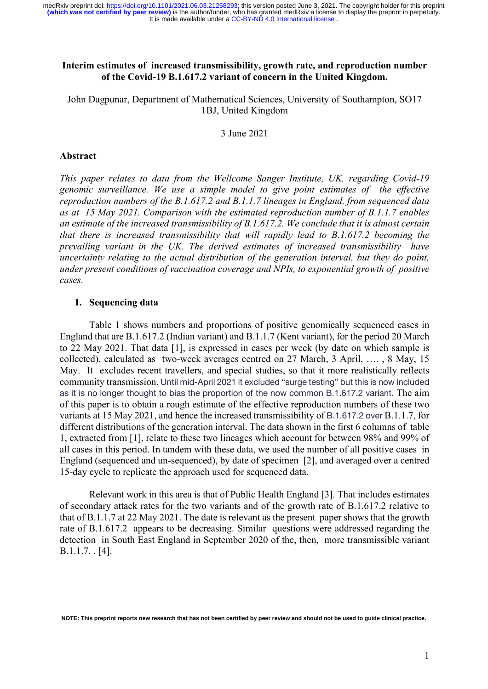## **Interim estimates of increased transmissibility, growth rate, and reproduction number of the Covid-19 B.1.617.2 variant of concern in the United Kingdom.**

John Dagpunar, Department of Mathematical Sciences, University of Southampton, SO17 1BJ, United Kingdom

3 June 2021

#### **Abstract**

*This paper relates to data from the Wellcome Sanger Institute, UK, regarding Covid-19 genomic surveillance. We use a simple model to give point estimates of the effective reproduction numbers of the B.1.617.2 and B.1.1.7 lineages in England, from sequenced data as at 15 May 2021. Comparison with the estimated reproduction number of B.1.1.7 enables an estimate of the increased transmissibility of B.1.617.2. We conclude that it is almost certain that there is increased transmissibility that will rapidly lead to B.1.617.2 becoming the prevailing variant in the UK. The derived estimates of increased transmissibility have uncertainty relating to the actual distribution of the generation interval, but they do point, under present conditions of vaccination coverage and NPIs, to exponential growth of positive cases.*

### **1. Sequencing data**

Table 1 shows numbers and proportions of positive genomically sequenced cases in England that are B.1.617.2 (Indian variant) and B.1.1.7 (Kent variant), for the period 20 March to 22 May 2021. That data [1], is expressed in cases per week (by date on which sample is collected), calculated as two-week averages centred on 27 March, 3 April, …. , 8 May, 15 May. It excludes recent travellers, and special studies, so that it more realistically reflects community transmission. Until mid-April 2021 it excluded "surge testing" but this is now included as it is no longer thought to bias the proportion of the now common B.1.617.2 variant. The aim of this paper is to obtain a rough estimate of the effective reproduction numbers of these two variants at 15 May 2021, and hence the increased transmissibility of B.1.617.2 over B.1.1.7, for different distributions of the generation interval. The data shown in the first 6 columns of table 1, extracted from [1], relate to these two lineages which account for between 98% and 99% of all cases in this period. In tandem with these data, we used the number of all positive cases in England (sequenced and un-sequenced), by date of specimen [2], and averaged over a centred 15-day cycle to replicate the approach used for sequenced data.

Relevant work in this area is that of Public Health England [3]. That includes estimates of secondary attack rates for the two variants and of the growth rate of B.1.617.2 relative to that of B.1.1.7 at 22 May 2021. The date is relevant as the present paper shows that the growth rate of B.1.617.2 appears to be decreasing. Similar questions were addressed regarding the detection in South East England in September 2020 of the, then, more transmissible variant B.1.1.7. , [4].

**NOTE: This preprint reports new research that has not been certified by peer review and should not be used to guide clinical practice.**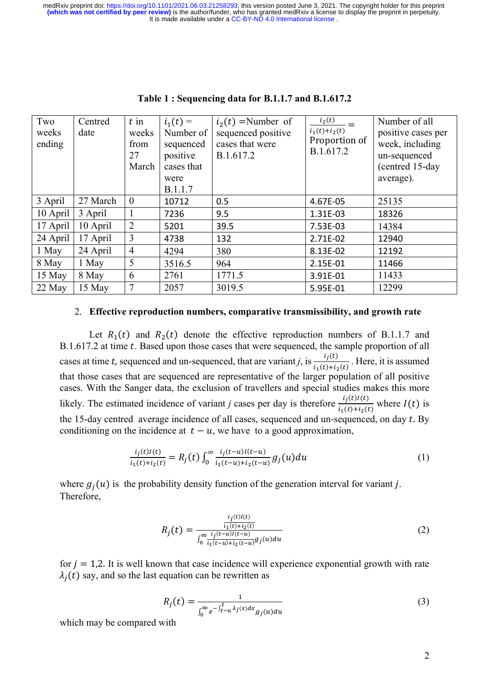| Two<br>weeks<br>ending | Centred<br>date | $t$ in<br>weeks<br>from<br>27<br>March | $i_1(t) =$<br>Number of<br>sequenced<br>positive<br>cases that<br>were<br>B.1.1.7 | $i_2(t)$ =Number of<br>sequenced positive<br>cases that were<br>B.1.617.2 | $i_2(t)$<br>$i_1(t)+i_2(t)$<br>Proportion of<br>B.1.617.2 | Number of all<br>positive cases per<br>week, including<br>un-sequenced<br>(centred 15-day<br>average). |
|------------------------|-----------------|----------------------------------------|-----------------------------------------------------------------------------------|---------------------------------------------------------------------------|-----------------------------------------------------------|--------------------------------------------------------------------------------------------------------|
| 3 April                | 27 March        | $\overline{0}$                         | 10712                                                                             | 0.5                                                                       | 4.67E-05                                                  | 25135                                                                                                  |
| 10 April               | 3 April         | 1                                      | 7236                                                                              | 9.5                                                                       | 1.31E-03                                                  | 18326                                                                                                  |
| 17 April               | 10 April        | $\overline{2}$                         | 5201                                                                              | 39.5                                                                      | 7.53E-03                                                  | 14384                                                                                                  |
| 24 April               | 17 April        | 3                                      | 4738                                                                              | 132                                                                       | 2.71E-02                                                  | 12940                                                                                                  |
| 1 May                  | 24 April        | $\overline{4}$                         | 4294                                                                              | 380                                                                       | 8.13E-02                                                  | 12192                                                                                                  |
| 8 May                  | 1 May           | 5                                      | 3516.5                                                                            | 964                                                                       | 2.15E-01                                                  | 11466                                                                                                  |
| 15 May                 | 8 May           | 6                                      | 2761                                                                              | 1771.5                                                                    | 3.91E-01                                                  | 11433                                                                                                  |
| 22 May                 | 15 May          | 7                                      | 2057                                                                              | 3019.5                                                                    | 5.95E-01                                                  | 12299                                                                                                  |

### **Table 1 : Sequencing data for B.1.1.7 and B.1.617.2**

#### 2. **Effective reproduction numbers, comparative transmissibility, and growth rate**

Let  $R_1(t)$  and  $R_2(t)$  denote the effective reproduction numbers of B.1.1.7 and B.1.617.2 at time  $t$ . Based upon those cases that were sequenced, the sample proportion of all cases at time t, sequenced and un-sequenced, that are variant *j*, is  $\frac{i_j(t)}{i_1(t)+i_2(t)}$ . Here, it is assumed that those cases that are sequenced are representative of the larger population of all positive cases. With the Sanger data, the exclusion of travellers and special studies makes this more likely. The estimated incidence of variant *j* cases per day is therefore  $\frac{i_j(t)I(t)}{i_1(t)+i_2(t)}$  where  $I(t)$  is the 15-day centred average incidence of all cases, sequenced and un-sequenced, on day  $t$ . By conditioning on the incidence at  $t - u$ , we have to a good approximation,

$$
\frac{i_j(t)I(t)}{i_1(t)+i_2(t)} = R_j(t) \int_0^\infty \frac{i_j(t-u)I(t-u)}{i_1(t-u)+i_2(t-u)} g_j(u) du \tag{1}
$$

where  $g_i(u)$  is the probability density function of the generation interval for variant j. Therefore,

$$
R_j(t) = \frac{\frac{i_j(t)I(t)}{i_1(t) + i_2(t)}}{\int_0^\infty \frac{i_j(t-u)I(t-u)}{i_1(t-u) + i_2(t-u)} g_j(u) du}
$$
(2)

for  $j = 1,2$ . It is well known that case incidence will experience exponential growth with rate  $\lambda_i(t)$  say, and so the last equation can be rewritten as

$$
R_j(t) = \frac{1}{\int_0^\infty e^{-\int_{t-u}^t \lambda_j(x)dx} g_j(u)du}
$$
\n(3)

which may be compared with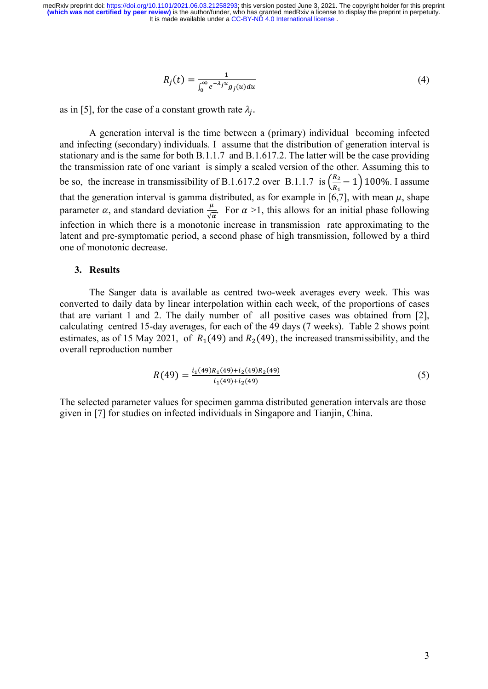$$
R_j(t) = \frac{1}{\int_0^\infty e^{-\lambda_j u} g_j(u) du} \tag{4}
$$

as in [5], for the case of a constant growth rate  $\lambda_i$ .

A generation interval is the time between a (primary) individual becoming infected and infecting (secondary) individuals. I assume that the distribution of generation interval is stationary and is the same for both B.1.1.7 and B.1.617.2. The latter will be the case providing the transmission rate of one variant is simply a scaled version of the other. Assuming this to be so, the increase in transmissibility of B.1.617.2 over B.1.1.7 is  $\left(\frac{R_2}{R_1}\right)$  $\frac{\pi_2}{R_1}$  – 1) 100%. I assume that the generation interval is gamma distributed, as for example in [6,7], with mean  $\mu$ , shape parameter  $\alpha$ , and standard deviation  $\frac{\mu}{\sqrt{\alpha}}$ . For  $\alpha >1$ , this allows for an initial phase following infection in which there is a monotonic increase in transmission rate approximating to the latent and pre-symptomatic period, a second phase of high transmission, followed by a third one of monotonic decrease.

### **3. Results**

The Sanger data is available as centred two-week averages every week. This was converted to daily data by linear interpolation within each week, of the proportions of cases that are variant 1 and 2. The daily number of all positive cases was obtained from [2], calculating centred 15-day averages, for each of the 49 days (7 weeks). Table 2 shows point estimates, as of 15 May 2021, of  $R_1(49)$  and  $R_2(49)$ , the increased transmissibility, and the overall reproduction number

$$
R(49) = \frac{i_1(49)R_1(49) + i_2(49)R_2(49)}{i_1(49) + i_2(49)}
$$
\n
$$
(5)
$$

The selected parameter values for specimen gamma distributed generation intervals are those given in [7] for studies on infected individuals in Singapore and Tianjin, China.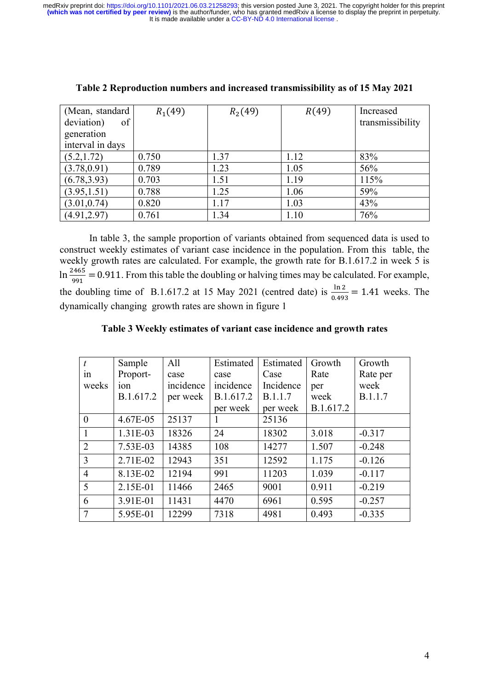It is made available under a CC-BY-ND 4.0 International license. medRxiv preprint doi: [https://doi.org/10.1101/2021.06.03.21258293;](https://doi.org/10.1101/2021.06.03.21258293) this version posted June 3, 2021. The copyright holder for this preprint<br>(which was not certified by peer review) is the author/funder, who has granted med

| (Mean, standard  | $R_1(49)$ | $R_2(49)$ | R(49) | Increased        |
|------------------|-----------|-----------|-------|------------------|
| deviation)<br>of |           |           |       | transmissibility |
| generation       |           |           |       |                  |
| interval in days |           |           |       |                  |
| (5.2, 1.72)      | 0.750     | 1.37      | 1.12  | 83%              |
| (3.78, 0.91)     | 0.789     | 1.23      | 1.05  | 56%              |
| (6.78, 3.93)     | 0.703     | 1.51      | 1.19  | 115%             |
| (3.95, 1.51)     | 0.788     | 1.25      | 1.06  | 59%              |
| (3.01, 0.74)     | 0.820     | 1.17      | 1.03  | 43%              |
| (4.91, 2.97)     | 0.761     | 1.34      | 1.10  | 76%              |

| Table 2 Reproduction numbers and increased transmissibility as of 15 May 2021 |  |  |  |  |
|-------------------------------------------------------------------------------|--|--|--|--|
|                                                                               |  |  |  |  |

In table 3, the sample proportion of variants obtained from sequenced data is used to construct weekly estimates of variant case incidence in the population. From this table, the weekly growth rates are calculated. For example, the growth rate for B.1.617.2 in week 5 is  $\ln \frac{2465}{991} = 0.911$ . From this table the doubling or halving times may be calculated. For example, the doubling time of B.1.617.2 at 15 May 2021 (centred date) is  $\frac{\ln 2}{0.493} = 1.41$  weeks. The dynamically changing growth rates are shown in figure 1

# **Table 3 Weekly estimates of variant case incidence and growth rates**

| $\boldsymbol{t}$ | Sample     | All       | Estimated | Estimated      | Growth    | Growth   |
|------------------|------------|-----------|-----------|----------------|-----------|----------|
| 1n               | Proport-   | case      | case      | Case           | Rate      | Rate per |
| weeks            | ion        | incidence | incidence | Incidence      | per       | week     |
|                  | B.1.617.2  | per week  | B.1.617.2 | <b>B.1.1.7</b> | week      | B.1.1.7  |
|                  |            |           | per week  | per week       | B.1.617.2 |          |
| $\theta$         | 4.67E-05   | 25137     |           | 25136          |           |          |
| 1                | 1.31E-03   | 18326     | 24        | 18302          | 3.018     | $-0.317$ |
| $\overline{2}$   | $7.53E-03$ | 14385     | 108       | 14277          | 1.507     | $-0.248$ |
| 3                | 2.71E-02   | 12943     | 351       | 12592          | 1.175     | $-0.126$ |
| $\overline{4}$   | 8.13E-02   | 12194     | 991       | 11203          | 1.039     | $-0.117$ |
| 5                | 2.15E-01   | 11466     | 2465      | 9001           | 0.911     | $-0.219$ |
| 6                | 3.91E-01   | 11431     | 4470      | 6961           | 0.595     | $-0.257$ |
| 7                | 5.95E-01   | 12299     | 7318      | 4981           | 0.493     | $-0.335$ |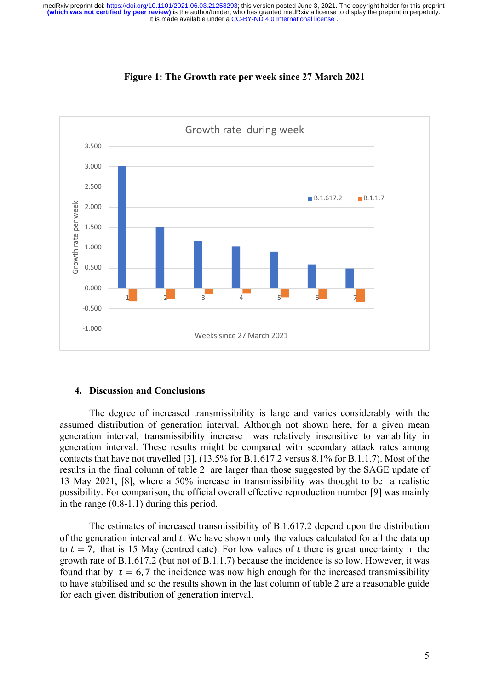



### **4. Discussion and Conclusions**

The degree of increased transmissibility is large and varies considerably with the assumed distribution of generation interval. Although not shown here, for a given mean generation interval, transmissibility increase was relatively insensitive to variability in generation interval. These results might be compared with secondary attack rates among contacts that have not travelled [3], (13.5% for B.1.617.2 versus 8.1% for B.1.1.7). Most of the results in the final column of table 2 are larger than those suggested by the SAGE update of 13 May 2021, [8], where a 50% increase in transmissibility was thought to be a realistic possibility. For comparison, the official overall effective reproduction number [9] was mainly in the range (0.8-1.1) during this period.

The estimates of increased transmissibility of B.1.617.2 depend upon the distribution of the generation interval and  $t$ . We have shown only the values calculated for all the data up to  $t = 7$ , that is 15 May (centred date). For low values of t there is great uncertainty in the growth rate of B.1.617.2 (but not of B.1.1.7) because the incidence is so low. However, it was found that by  $t = 6.7$  the incidence was now high enough for the increased transmissibility to have stabilised and so the results shown in the last column of table 2 are a reasonable guide for each given distribution of generation interval.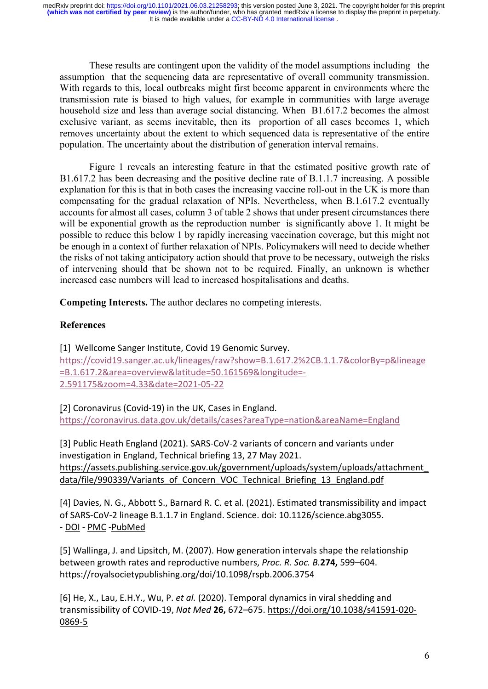These results are contingent upon the validity of the model assumptions including the assumption that the sequencing data are representative of overall community transmission. With regards to this, local outbreaks might first become apparent in environments where the transmission rate is biased to high values, for example in communities with large average household size and less than average social distancing. When B1.617.2 becomes the almost exclusive variant, as seems inevitable, then its proportion of all cases becomes 1, which removes uncertainty about the extent to which sequenced data is representative of the entire population. The uncertainty about the distribution of generation interval remains.

Figure 1 reveals an interesting feature in that the estimated positive growth rate of B1.617.2 has been decreasing and the positive decline rate of B.1.1.7 increasing. A possible explanation for this is that in both cases the increasing vaccine roll-out in the UK is more than compensating for the gradual relaxation of NPIs. Nevertheless, when B.1.617.2 eventually accounts for almost all cases, column 3 of table 2 shows that under present circumstances there will be exponential growth as the reproduction number is significantly above 1. It might be possible to reduce this below 1 by rapidly increasing vaccination coverage, but this might not be enough in a context of further relaxation of NPIs. Policymakers will need to decide whether the risks of not taking anticipatory action should that prove to be necessary, outweigh the risks of intervening should that be shown not to be required. Finally, an unknown is whether increased case numbers will lead to increased hospitalisations and deaths.

**Competing Interests.** The author declares no competing interests.

# **References**

[1] Wellcome Sanger Institute, Covid 19 Genomic Survey. https://covid19.sanger.ac.uk/lineages/raw?show=B.1.617.2%2CB.1.1.7&colorBy=p&lineage =B.1.617.2&area=overview&latitude=50.161569&longitude=- 2.591175&zoom=4.33&date=2021-05-22

[2] Coronavirus (Covid-19) in the UK, Cases in England. https://coronavirus.data.gov.uk/details/cases?areaType=nation&areaName=England

[3] Public Heath England (2021). SARS-CoV-2 variants of concern and variants under investigation in England, Technical briefing 13, 27 May 2021. https://assets.publishing.service.gov.uk/government/uploads/system/uploads/attachment\_ data/file/990339/Variants\_of\_Concern\_VOC\_Technical\_Briefing\_13\_England.pdf

[4] Davies, N. G., Abbott S., Barnard R. C. et al. (2021). Estimated transmissibility and impact of SARS-CoV-2 lineage B.1.1.7 in England. Science. doi: 10.1126/science.abg3055. - DOI - PMC -PubMed

[5] Wallinga, J. and Lipsitch, M. (2007). How generation intervals shape the relationship between growth rates and reproductive numbers, *Proc. R. Soc. B.***274,** 599–604. https://royalsocietypublishing.org/doi/10.1098/rspb.2006.3754

[6] He, X., Lau, E.H.Y., Wu, P. *et al.* (2020). Temporal dynamics in viral shedding and transmissibility of COVID-19, *Nat Med* **26,** 672–675. https://doi.org/10.1038/s41591-020- 0869-5